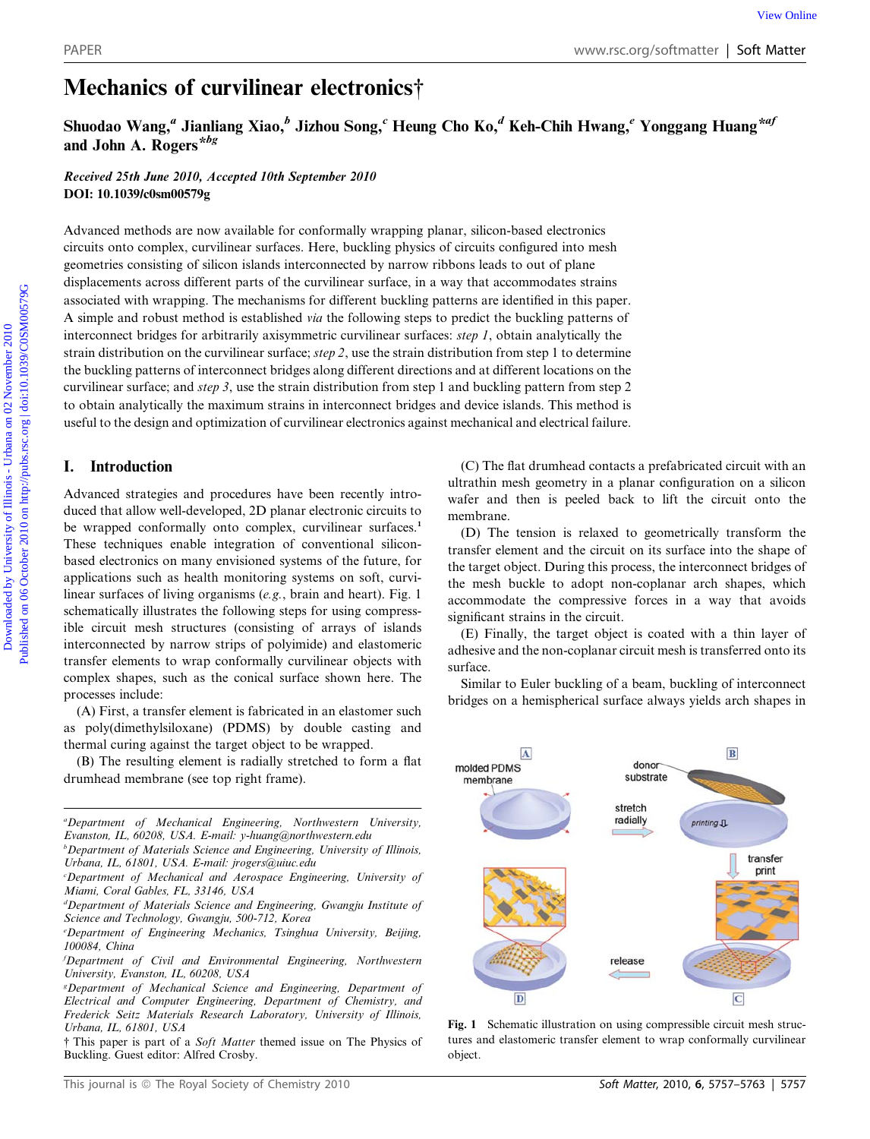# Mechanics of curvilinear electronics†

# Shuodao Wang,<sup>a</sup> Jianliang Xiao,<sup>b</sup> Jizhou Song,<sup>c</sup> Heung Cho Ko,<sup>d</sup> Keh-Chih Hwang,<sup>e</sup> Yonggang Huang<sup>\*af</sup> and John A. Rogers\*bg

Received 25th June 2010, Accepted 10th September 2010 DOI: 10.1039/c0sm00579g

Advanced methods are now available for conformally wrapping planar, silicon-based electronics circuits onto complex, curvilinear surfaces. Here, buckling physics of circuits configured into mesh geometries consisting of silicon islands interconnected by narrow ribbons leads to out of plane displacements across different parts of the curvilinear surface, in a way that accommodates strains associated with wrapping. The mechanisms for different buckling patterns are identified in this paper. A simple and robust method is established via the following steps to predict the buckling patterns of interconnect bridges for arbitrarily axisymmetric curvilinear surfaces: step 1, obtain analytically the strain distribution on the curvilinear surface; *step 2*, use the strain distribution from step 1 to determine the buckling patterns of interconnect bridges along different directions and at different locations on the curvilinear surface; and *step 3*, use the strain distribution from step 1 and buckling pattern from step 2 to obtain analytically the maximum strains in interconnect bridges and device islands. This method is useful to the design and optimization of curvilinear electronics against mechanical and electrical failure. PAPER<br>
McChannics of curvilinear electronics?<br>
Shuodao Wang,<sup>6</sup> Jianilang Xiao,<sup>6</sup> Jianion Song,<sup>6</sup> Heung Cho Ko,<sup>4</sup> Keh-Chih Hwang,<sup>6</sup> Yonggang Huang<sup>an/</sup><br>
and John A. Rogers<sup>202</sup><br>
Rowin U.B. Moreover 2010<br>
Downloaded an

## I. Introduction

Advanced strategies and procedures have been recently introduced that allow well-developed, 2D planar electronic circuits to be wrapped conformally onto complex, curvilinear surfaces.<sup>1</sup> These techniques enable integration of conventional siliconbased electronics on many envisioned systems of the future, for applications such as health monitoring systems on soft, curvilinear surfaces of living organisms (e.g., brain and heart). Fig. 1 schematically illustrates the following steps for using compressible circuit mesh structures (consisting of arrays of islands interconnected by narrow strips of polyimide) and elastomeric transfer elements to wrap conformally curvilinear objects with complex shapes, such as the conical surface shown here. The processes include:

(A) First, a transfer element is fabricated in an elastomer such as poly(dimethylsiloxane) (PDMS) by double casting and thermal curing against the target object to be wrapped.

(B) The resulting element is radially stretched to form a flat drumhead membrane (see top right frame).

a Department of Mechanical Engineering, Northwestern University, Evanston, IL, 60208, USA. E-mail: y-huang@northwestern.edu

e Department of Engineering Mechanics, Tsinghua University, Beijing, 100084, China

f Department of Civil and Environmental Engineering, Northwestern University, Evanston, IL, 60208, USA

<sup>g</sup>Department of Mechanical Science and Engineering, Department of Electrical and Computer Engineering, Department of Chemistry, and Frederick Seitz Materials Research Laboratory, University of Illinois, Urbana, IL, 61801, USA

† This paper is part of a Soft Matter themed issue on The Physics of Buckling. Guest editor: Alfred Crosby.

(C) The flat drumhead contacts a prefabricated circuit with an ultrathin mesh geometry in a planar configuration on a silicon wafer and then is peeled back to lift the circuit onto the membrane.

(D) The tension is relaxed to geometrically transform the transfer element and the circuit on its surface into the shape of the target object. During this process, the interconnect bridges of the mesh buckle to adopt non-coplanar arch shapes, which accommodate the compressive forces in a way that avoids significant strains in the circuit.

(E) Finally, the target object is coated with a thin layer of adhesive and the non-coplanar circuit mesh is transferred onto its surface.

Similar to Euler buckling of a beam, buckling of interconnect bridges on a hemispherical surface always yields arch shapes in



Fig. 1 Schematic illustration on using compressible circuit mesh structures and elastomeric transfer element to wrap conformally curvilinear object.

<sup>&</sup>lt;sup>b</sup>Department of Materials Science and Engineering, University of Illinois, Urbana, IL, 61801, USA. E-mail: jrogers@uiuc.edu

<sup>&</sup>lt;sup>c</sup>Department of Mechanical and Aerospace Engineering, University of Miami, Coral Gables, FL, 33146, USA

<sup>&</sup>lt;sup>d</sup>Department of Materials Science and Engineering, Gwangju Institute of Science and Technology, Gwangju, 500-712, Korea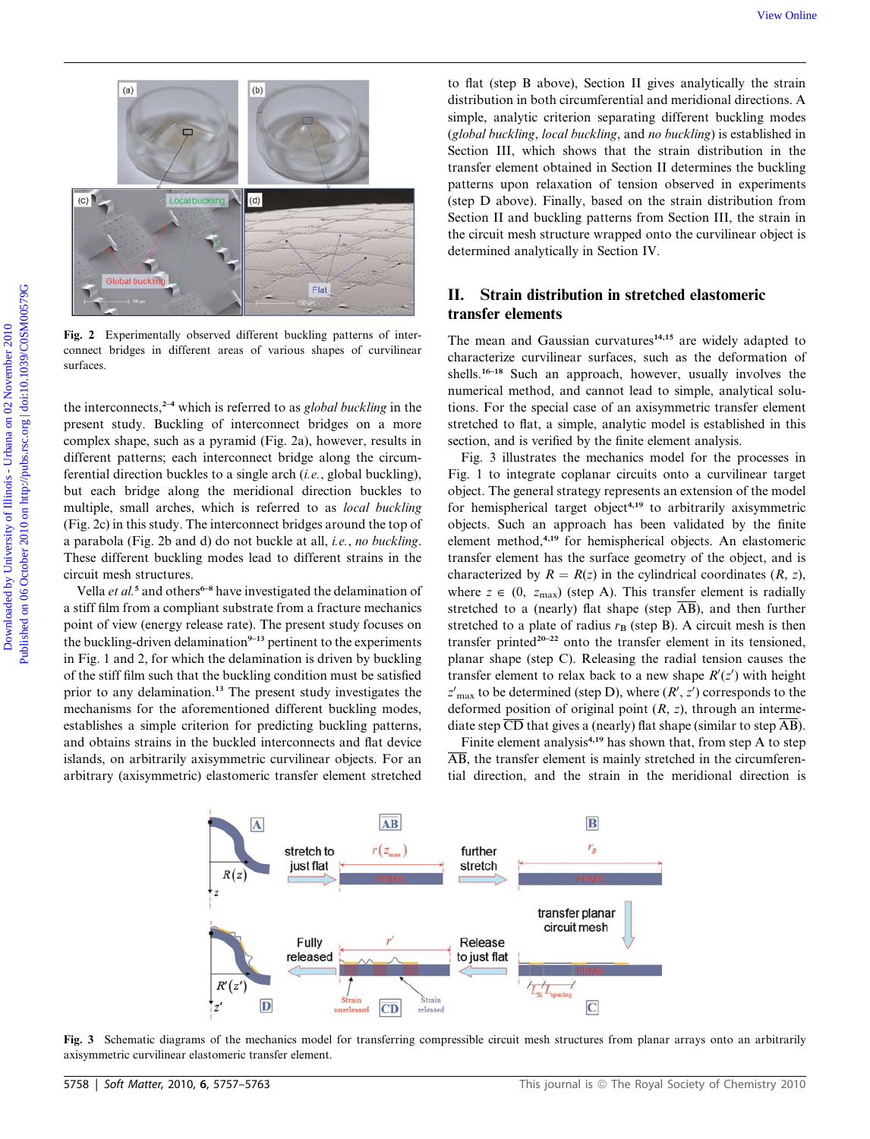

Fig. 2 Experimentally observed different buckling patterns of interconnect bridges in different areas of various shapes of curvilinear surfaces.

the interconnects, $2-4$  which is referred to as *global buckling* in the present study. Buckling of interconnect bridges on a more complex shape, such as a pyramid (Fig. 2a), however, results in different patterns; each interconnect bridge along the circumferential direction buckles to a single arch (i.e., global buckling), but each bridge along the meridional direction buckles to multiple, small arches, which is referred to as local buckling (Fig. 2c) in this study. The interconnect bridges around the top of a parabola (Fig. 2b and d) do not buckle at all, i.e., no buckling. These different buckling modes lead to different strains in the circuit mesh structures.

Vella et al.<sup>5</sup> and others<sup>6–8</sup> have investigated the delamination of a stiff film from a compliant substrate from a fracture mechanics point of view (energy release rate). The present study focuses on the buckling-driven delamination $9-13$  pertinent to the experiments in Fig. 1 and 2, for which the delamination is driven by buckling of the stiff film such that the buckling condition must be satisfied prior to any delamination.<sup>13</sup> The present study investigates the mechanisms for the aforementioned different buckling modes, establishes a simple criterion for predicting buckling patterns, and obtains strains in the buckled interconnects and flat device islands, on arbitrarily axisymmetric curvilinear objects. For an arbitrary (axisymmetric) elastomeric transfer element stretched

to flat (step B above), Section II gives analytically the strain distribution in both circumferential and meridional directions. A simple, analytic criterion separating different buckling modes (global buckling, local buckling, and no buckling) is established in Section III, which shows that the strain distribution in the transfer element obtained in Section II determines the buckling patterns upon relaxation of tension observed in experiments (step D above). Finally, based on the strain distribution from Section II and buckling patterns from Section III, the strain in the circuit mesh structure wrapped onto the curvilinear object is determined analytically in Section IV.

### II. Strain distribution in stretched elastomeric transfer elements

The mean and Gaussian curvatures<sup>14,15</sup> are widely adapted to characterize curvilinear surfaces, such as the deformation of shells.<sup>16–18</sup> Such an approach, however, usually involves the numerical method, and cannot lead to simple, analytical solutions. For the special case of an axisymmetric transfer element stretched to flat, a simple, analytic model is established in this section, and is verified by the finite element analysis.

Fig. 3 illustrates the mechanics model for the processes in Fig. 1 to integrate coplanar circuits onto a curvilinear target object. The general strategy represents an extension of the model for hemispherical target object<sup>4,19</sup> to arbitrarily axisymmetric objects. Such an approach has been validated by the finite element method,4,19 for hemispherical objects. An elastomeric transfer element has the surface geometry of the object, and is characterized by  $R = R(z)$  in the cylindrical coordinates  $(R, z)$ , where  $z \in (0, z_{\text{max}})$  (step A). This transfer element is radially stretched to a (nearly) flat shape (step  $\overline{AB}$ ), and then further stretched to a plate of radius  $r<sub>B</sub>$  (step B). A circuit mesh is then transfer printed<sup>20–22</sup> onto the transfer element in its tensioned, planar shape (step C). Releasing the radial tension causes the transfer element to relax back to a new shape  $R'(z')$  with height  $z'_{\text{max}}$  to be determined (step D), where  $(R', z')$  corresponds to the deformed position of original point  $(R, z)$ , through an intermediate step  $\overline{CD}$  that gives a (nearly) flat shape (similar to step  $\overline{AB}$ ).

Finite element analysis<sup>4,19</sup> has shown that, from step A to step AB, the transfer element is mainly stretched in the circumferential direction, and the strain in the meridional direction is



Fig. 3 Schematic diagrams of the mechanics model for transferring compressible circuit mesh structures from planar arrays onto an arbitrarily axisymmetric curvilinear elastomeric transfer element.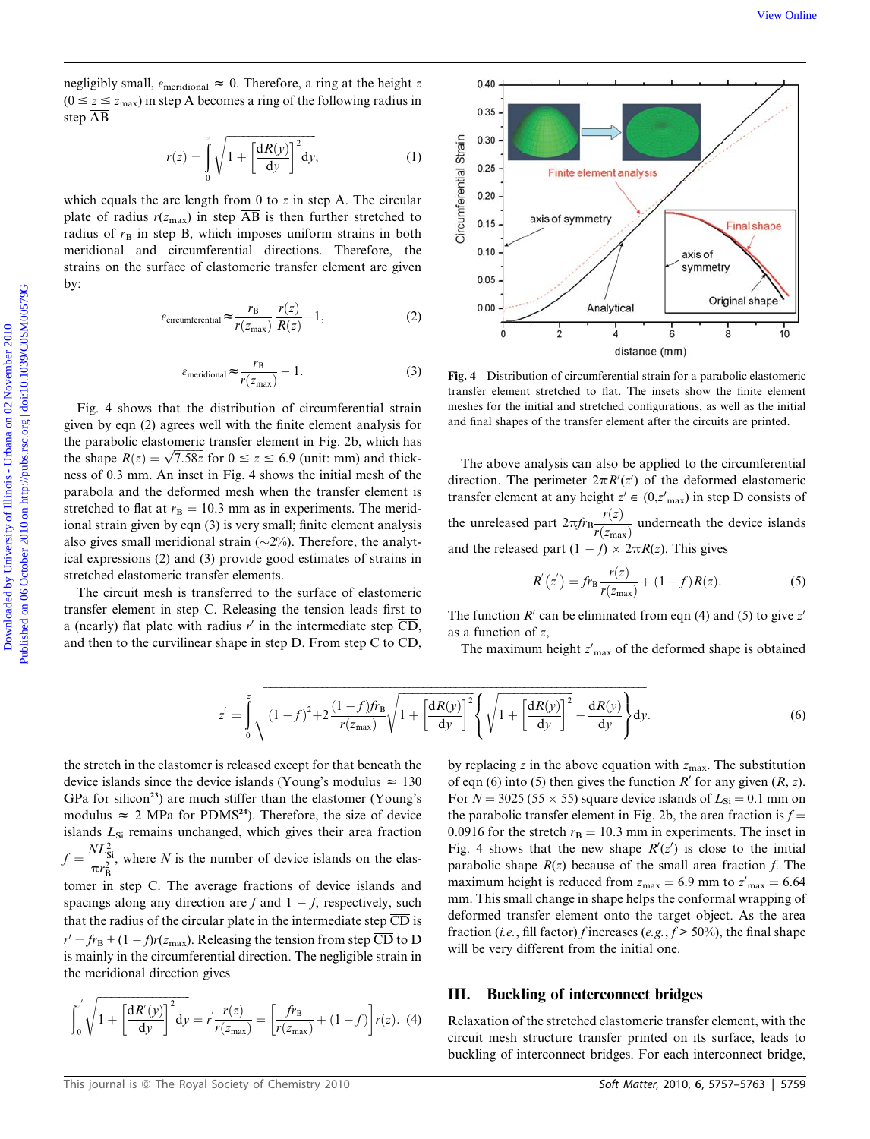negligibly small,  $\varepsilon_{\text{meridional}} \approx 0$ . Therefore, a ring at the height z  $(0 \le z \le z_{\text{max}})$  in step A becomes a ring of the following radius in step AB

$$
r(z) = \int_{0}^{z} \sqrt{1 + \left[\frac{dR(y)}{dy}\right]^2 dy},
$$
 (1)

which equals the arc length from 0 to z in step A. The circular plate of radius  $r(z_{\text{max}})$  in step  $\overline{AB}$  is then further stretched to radius of  $r<sub>B</sub>$  in step B, which imposes uniform strains in both meridional and circumferential directions. Therefore, the strains on the surface of elastomeric transfer element are given by:

$$
\varepsilon_{\text{circumferential}} \approx \frac{r_{\text{B}}}{r(z_{\text{max}})} \frac{r(z)}{R(z)} - 1,\tag{2}
$$

$$
\varepsilon_{\text{meridional}} \approx \frac{r_{\text{B}}}{r(z_{\text{max}})} - 1. \tag{3}
$$

Fig. 4 shows that the distribution of circumferential strain given by eqn (2) agrees well with the finite element analysis for the parabolic elastomeric transfer element in Fig. 2b, which has the shape  $R(z) = \sqrt{7.58z}$  for  $0 \le z \le 6.9$  (unit: mm) and thickness of 0.3 mm. An inset in Fig. 4 shows the initial mesh of the parabola and the deformed mesh when the transfer element is stretched to flat at  $r<sub>B</sub> = 10.3$  mm as in experiments. The meridional strain given by eqn (3) is very small; finite element analysis also gives small meridional strain  $(\sim 2\%)$ . Therefore, the analytical expressions (2) and (3) provide good estimates of strains in stretched elastomeric transfer elements.

The circuit mesh is transferred to the surface of elastomeric transfer element in step C. Releasing the tension leads first to a (nearly) flat plate with radius r' in the intermediate step  $\overline{CD}$ , and then to the curvilinear shape in step D. From step C to  $\overline{CD}$ ,



Fig. 4 Distribution of circumferential strain for a parabolic elastomeric transfer element stretched to flat. The insets show the finite element meshes for the initial and stretched configurations, as well as the initial and final shapes of the transfer element after the circuits are printed.

The above analysis can also be applied to the circumferential direction. The perimeter  $2\pi R'(z')$  of the deformed elastomeric transfer element at any height  $z' \in (0, z'_{\text{max}})$  in step D consists of the unreleased part  $2\pi fr_B \frac{r(z)}{r(z_{\text{max}})}$  underneath the device islands and the released part  $(1 - f) \times 2\pi R(z)$ . This gives

$$
R'(z') = fr_B \frac{r(z)}{r(z_{\text{max}})} + (1 - f)R(z).
$$
 (5)

The function R' can be eliminated from eqn (4) and (5) to give  $z'$ as a function of z,

The maximum height  $z'_{\text{max}}$  of the deformed shape is obtained

$$
z' = \int_{0}^{z} \sqrt{(1-f)^{2} + 2\frac{(1-f)f_{\text{B}}}{r(z_{\text{max}})}}\sqrt{1 + \left[\frac{dR(y)}{dy}\right]^{2}}\sqrt{1 + \left[\frac{dR(y)}{dy}\right]^{2}} - \frac{dR(y)}{dy}\sqrt{dy}.
$$
 (6)

the stretch in the elastomer is released except for that beneath the device islands since the device islands (Young's modulus  $\approx 130$ GPa for silicon<sup>23</sup>) are much stiffer than the elastomer (Young's modulus  $\approx$  2 MPa for PDMS<sup>24</sup>). Therefore, the size of device islands  $L_{Si}$  remains unchanged, which gives their area fraction  $f = \frac{NL_{\text{Si}}^2}{\pi r_{\text{B}}^2}$ , where  $N$  is the number of device islands on the elastomer in step C. The average fractions of device islands and spacings along any direction are  $f$  and  $1 - f$ , respectively, such that the radius of the circular plate in the intermediate step  $\overline{\rm CD}$  is  $r' = fr_B + (1 - f)r(z_{\text{max}})$ . Releasing the tension from step  $\overline{CD}$  to D is mainly in the circumferential direction. The negligible strain in the meridional direction gives

$$
\int_0^{z'} \sqrt{1 + \left[\frac{dR'(y)}{dy}\right]^2} dy = r' \frac{r(z)}{r(z_{\text{max}})} = \left[\frac{fr_B}{r(z_{\text{max}})} + (1 - f)\right] r(z). \tag{4}
$$

by replacing z in the above equation with  $z_{\text{max}}$ . The substitution of eqn (6) into (5) then gives the function  $R'$  for any given  $(R, z)$ . For  $N = 3025 (55 \times 55)$  square device islands of  $L_{\text{Si}} = 0.1$  mm on the parabolic transfer element in Fig. 2b, the area fraction is  $f =$ 0.0916 for the stretch  $r_B = 10.3$  mm in experiments. The inset in Fig. 4 shows that the new shape  $R'(z')$  is close to the initial parabolic shape  $R(z)$  because of the small area fraction f. The maximum height is reduced from  $z_{\text{max}} = 6.9$  mm to  $z'_{\text{max}} = 6.64$ mm. This small change in shape helps the conformal wrapping of deformed transfer element onto the target object. As the area fraction (*i.e.*, fill factor) f increases (*e.g., f* > 50%), the final shape will be very different from the initial one.

#### III. Buckling of interconnect bridges

Relaxation of the stretched elastomeric transfer element, with the circuit mesh structure transfer printed on its surface, leads to buckling of interconnect bridges. For each interconnect bridge,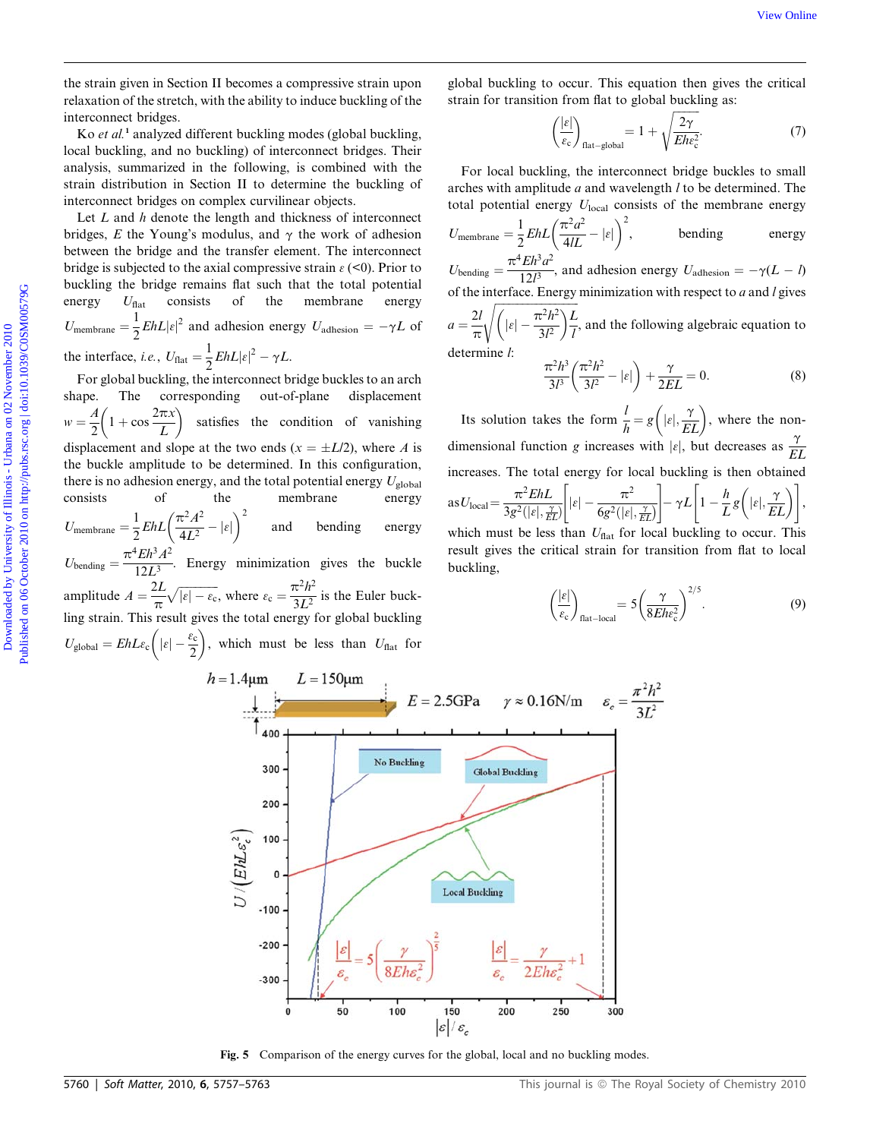the strain given in Section II becomes a compressive strain upon relaxation of the stretch, with the ability to induce buckling of the interconnect bridges.

Ko et al.<sup>1</sup> analyzed different buckling modes (global buckling, local buckling, and no buckling) of interconnect bridges. Their analysis, summarized in the following, is combined with the strain distribution in Section II to determine the buckling of interconnect bridges on complex curvilinear objects.

Let  $L$  and  $h$  denote the length and thickness of interconnect bridges, E the Young's modulus, and  $\gamma$  the work of adhesion between the bridge and the transfer element. The interconnect bridge is subjected to the axial compressive strain  $\varepsilon$  (<0). Prior to buckling the bridge remains flat such that the total potential energy  $U_{\text{flat}}$  consists of the membrane energy  $U_{\text{membrane}} = \frac{1}{2} E h L |\varepsilon|^2$  and adhesion energy  $U_{\text{adhesion}} = -\gamma L$  of the interface, *i.e.*,  $U_{\text{flat}} = \frac{1}{2} E h L |\varepsilon|^2 - \gamma L$ .

For global buckling, the interconnect bridge buckles to an arch shape. The corresponding out-of-plane displacement  $w = \frac{A}{2}$  $\left(1 + \cos \frac{2\pi x}{L}\right)$  $\lambda$ satisfies the condition of vanishing displacement and slope at the two ends ( $x = \pm L/2$ ), where A is the buckle amplitude to be determined. In this configuration, there is no adhesion energy, and the total potential energy  $U_{\text{global}}$ consists of the membrane energy  $U_{\text{membrane}} = \frac{1}{2} E h L \bigg( \frac{\pi^2 A^2}{4 L^2} - |\varepsilon|$  $\sqrt{2}$ bending energy  $U_{\text{bending}} = \frac{\pi^4 E h^3 A^2}{12L^3}$ . Energy minimization gives the buckle amplitude  $A = \frac{2L}{\pi}$  $\sqrt{|\varepsilon| - \varepsilon_c}$ , where  $\varepsilon_c = \frac{\pi^2 h^2}{3L^2}$  is the Euler buckling strain. This result gives the total energy for global buckling  $U_{\text{global}} = E h L \varepsilon_{\text{c}}$  $\overline{1}$  $\left|\varepsilon\right|-\frac{\varepsilon_{\rm c}}{2}$ 2  $\sqrt{2}$ , which must be less than  $U_{\text{flat}}$  for New strain given in Section 11 becomes a compressive strain upon<br>
chosen for attacking the contract contribution of the contract contract contract contract control in the proposition of the set of a maximum of the control

global buckling to occur. This equation then gives the critical strain for transition from flat to global buckling as:

$$
\left(\frac{|\varepsilon|}{\varepsilon_{\rm c}}\right)_{\rm flat-global} = 1 + \sqrt{\frac{2\gamma}{Ehe_{\rm c}^2}}.\tag{7}
$$

For local buckling, the interconnect bridge buckles to small arches with amplitude  $a$  and wavelength  $l$  to be determined. The total potential energy  $U_{local}$  consists of the membrane energy

$$
U_{\text{membrane}} = \frac{1}{2} E h L \left( \frac{\pi^2 a^2}{4IL} - |\varepsilon| \right)^2, \qquad \text{bending} \qquad \text{energy}
$$

 $U_{\text{bending}} = \frac{\pi^4 E h^3 a^2}{12l^3}$ , and adhesion energy  $U_{\text{adhesion}} = -\gamma (L - l)$ of the interface. Energy minimization with respect to  $a$  and  $l$  gives  $a=\frac{2i}{\pi}$  $\frac{c_5}{f}$  $|\varepsilon| - \frac{\pi^2 h^2}{2D}$  $3l^2$  $\overline{\setminus L}$ l s , and the following algebraic equation to determine l

$$
\frac{\pi^2 h^3}{3l^3} \left( \frac{\pi^2 h^2}{3l^2} - |\varepsilon| \right) + \frac{\gamma}{2EL} = 0.
$$
 (8)

Its solution takes the form  $\frac{l}{h} = g$  $\left( |\varepsilon|, \frac{\gamma}{EL} \right)$ , where the nondimensional function g increases with  $|\varepsilon|$ , but decreases as  $\frac{\gamma}{EL}$ increases. The total energy for local buckling is then obtained  $\text{as } U_{\text{local}} = \frac{\pi^2 E h L}{3g^2(|\varepsilon|, \frac{\gamma}{E L})} \left| |\varepsilon| - \frac{\pi^2}{6g^2(|\varepsilon|)} \right|$  $\overline{6g^2(|\varepsilon|,\frac{\gamma}{EL})}$  $\begin{bmatrix} 0 & 1 \\ 1 & 1 \end{bmatrix}$  $-\gamma L$ т<br>Г  $1-\frac{h}{L}g$  $\left( |\varepsilon|, \frac{\gamma}{EL} \right) \Bigg],$ 

which must be less than  $U_{\text{flat}}$  for local buckling to occur. This result gives the critical strain for transition from flat to local buckling,

$$
\left(\frac{|\varepsilon|}{\varepsilon_{\rm c}}\right)_{\rm flat-local} = 5\left(\frac{\gamma}{8Ehe_{\rm c}^2}\right)^{2/5}.\tag{9}
$$



Fig. 5 Comparison of the energy curves for the global, local and no buckling modes.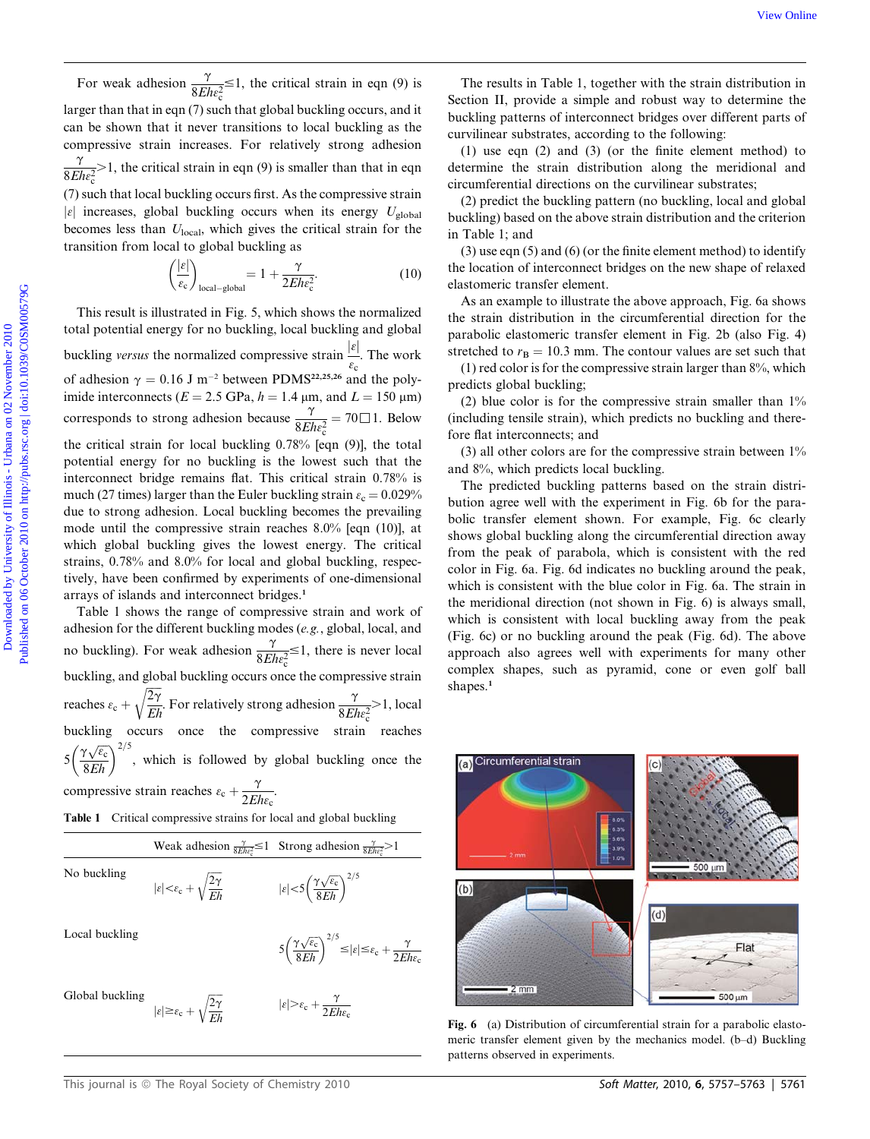For weak adhesion  $\frac{\gamma}{8Ehc_c^2}$  $\leq$ 1, the critical strain in eqn (9) is larger than that in eqn (7) such that global buckling occurs, and it can be shown that it never transitions to local buckling as the compressive strain increases. For relatively strong adhesion  $\gamma$  $8Eh\epsilon_{\rm c}^2$  $>1$ , the critical strain in eqn (9) is smaller than that in eqn (7) such that local buckling occurs first. As the compressive strain  $|\varepsilon|$  increases, global buckling occurs when its energy  $U_{\text{global}}$ becomes less than  $U<sub>local</sub>$ , which gives the critical strain for the transition from local to global buckling as

$$
\left(\frac{|\varepsilon|}{\varepsilon_{\rm c}}\right)_{\rm local-global} = 1 + \frac{\gamma}{2Eh\varepsilon_{\rm c}^2}.
$$
 (10)

This result is illustrated in Fig. 5, which shows the normalized total potential energy for no buckling, local buckling and global buckling versus the normalized compressive strain  $\frac{|\varepsilon|}{\varepsilon_c}$ . The work of adhesion  $\gamma = 0.16$  J m<sup>-2</sup> between PDMS<sup>22,25,26</sup> and the polyimide interconnects ( $E = 2.5$  GPa,  $h = 1.4$  µm, and  $L = 150$  µm) corresponds to strong adhesion because  $\frac{\gamma}{8Ehe_c^2} = 70 \square 1$ . Below the critical strain for local buckling 0.78% [eqn (9)], the total potential energy for no buckling is the lowest such that the interconnect bridge remains flat. This critical strain 0.78% is much (27 times) larger than the Euler buckling strain  $\varepsilon_c = 0.029\%$ due to strong adhesion. Local buckling becomes the prevailing Urbana on  $\frac{q}{2}$  Urbana on Hotel Strain in eqn. (9) is  $\frac{q}{2}$  The results in Their by University of Boston Line (1998) and the internal on the constrained by the strained by the Constrained Constrained Constrained C

mode until the compressive strain reaches 8.0% [eqn (10)], at which global buckling gives the lowest energy. The critical strains, 0.78% and 8.0% for local and global buckling, respectively, have been confirmed by experiments of one-dimensional arrays of islands and interconnect bridges.<sup>1</sup>

Table 1 shows the range of compressive strain and work of adhesion for the different buckling modes (e.g., global, local, and no buckling). For weak adhesion  $\frac{\gamma}{8Ehe_c^2}$  $\leq$ 1, there is never local buckling, and global buckling occurs once the compressive strain reaches  $\varepsilon_c$  +  $\sqrt{\frac{2\gamma}{Eh}}$ . For relatively strong adhesion  $\frac{\gamma}{8Eh\epsilon_c^2}$  $>1$ , local buckling occurs once the compressive strain reaches  $5\left(\frac{\gamma\sqrt{\varepsilon_{c}}}{8Eh}\right)^{2/5}$ , which is followed by global buckling once the compressive strain reaches  $\varepsilon_c + \frac{\gamma}{2Eh\varepsilon_c}$ .



 $|\varepsilon|<\varepsilon_{\rm c}$  +

 $|\varepsilon| \geq \varepsilon_c$  +

| No buckling |  |
|-------------|--|
|-------------|--|

 $\sqrt{\frac{2\gamma}{Eh}}$   $|\varepsilon| < 5 \left( \frac{\gamma \sqrt{\varepsilon_{\rm c}}}{8Eh} \right)^{2/5}$ 

Weak adhesion  $\frac{\gamma}{8E\hbar\varepsilon_c^2} \leq 1$  Strong adhesion  $\frac{\gamma}{8E\hbar\varepsilon_c^2} > 1$ 

Local buckling

Global buckling

$$
|\varepsilon|{>}\varepsilon_{\rm c}+\frac{\gamma}{2Eh\varepsilon_{\rm c}}
$$

 $5\left(\frac{\gamma\sqrt{\varepsilon_{\rm c}}}{8Eh}\right)^{2/5} \leq |\varepsilon| \leq \varepsilon_{\rm c} + \frac{\gamma}{2Eh\varepsilon_{\rm c}}$ 

The results in Table 1, together with the strain distribution in Section II, provide a simple and robust way to determine the buckling patterns of interconnect bridges over different parts of curvilinear substrates, according to the following:

(1) use eqn (2) and (3) (or the finite element method) to determine the strain distribution along the meridional and circumferential directions on the curvilinear substrates;

(2) predict the buckling pattern (no buckling, local and global buckling) based on the above strain distribution and the criterion in Table 1; and

(3) use eqn (5) and (6) (or the finite element method) to identify the location of interconnect bridges on the new shape of relaxed elastomeric transfer element.

As an example to illustrate the above approach, Fig. 6a shows the strain distribution in the circumferential direction for the parabolic elastomeric transfer element in Fig. 2b (also Fig. 4) stretched to  $r<sub>B</sub> = 10.3$  mm. The contour values are set such that

(1) red color is for the compressive strain larger than 8%, which predicts global buckling;

(2) blue color is for the compressive strain smaller than 1% (including tensile strain), which predicts no buckling and therefore flat interconnects; and

(3) all other colors are for the compressive strain between 1% and 8%, which predicts local buckling.

The predicted buckling patterns based on the strain distribution agree well with the experiment in Fig. 6b for the parabolic transfer element shown. For example, Fig. 6c clearly shows global buckling along the circumferential direction away from the peak of parabola, which is consistent with the red color in Fig. 6a. Fig. 6d indicates no buckling around the peak, which is consistent with the blue color in Fig. 6a. The strain in the meridional direction (not shown in Fig. 6) is always small, which is consistent with local buckling away from the peak (Fig. 6c) or no buckling around the peak (Fig. 6d). The above approach also agrees well with experiments for many other complex shapes, such as pyramid, cone or even golf ball shapes.<sup>1</sup>



Fig. 6 (a) Distribution of circumferential strain for a parabolic elastomeric transfer element given by the mechanics model. (b–d) Buckling patterns observed in experiments.

 $\sqrt{\frac{2\gamma}{E h}}$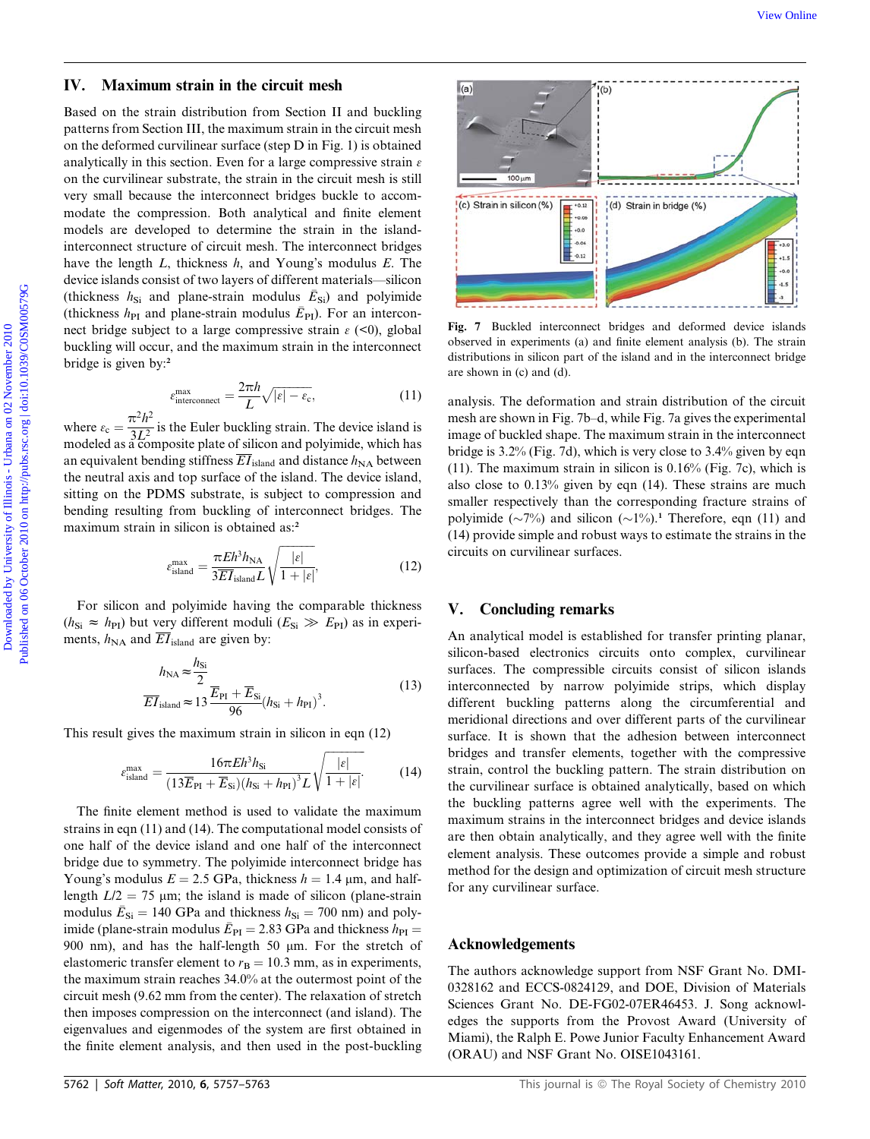#### IV. Maximum strain in the circuit mesh

Based on the strain distribution from Section II and buckling patterns from Section III, the maximum strain in the circuit mesh on the deformed curvilinear surface (step D in Fig. 1) is obtained analytically in this section. Even for a large compressive strain  $\varepsilon$ on the curvilinear substrate, the strain in the circuit mesh is still very small because the interconnect bridges buckle to accommodate the compression. Both analytical and finite element models are developed to determine the strain in the islandinterconnect structure of circuit mesh. The interconnect bridges have the length  $L$ , thickness  $h$ , and Young's modulus  $E$ . The device islands consist of two layers of different materials—silicon (thickness  $h_{Si}$  and plane-strain modulus  $\bar{E}_{Si}$ ) and polyimide (thickness  $h_{PI}$  and plane-strain modulus  $\bar{E}_{PI}$ ). For an interconnect bridge subject to a large compressive strain  $\varepsilon$  (<0), global buckling will occur, and the maximum strain in the interconnect bridge is given by:<sup>2</sup>

$$
\varepsilon_{\text{interconnect}}^{\text{max}} = \frac{2\pi h}{L} \sqrt{|\varepsilon| - \varepsilon_{\text{c}}},\tag{11}
$$

where  $\varepsilon_c = \frac{\pi^2 h^2}{3L^2}$  is the Euler buckling strain. The device island is modeled as a composite plate of silicon and polyimide, which has an equivalent bending stiffness  $\overline{EI}_{\text{island}}$  and distance  $h_{\text{NA}}$  between the neutral axis and top surface of the island. The device island, sitting on the PDMS substrate, is subject to compression and bending resulting from buckling of interconnect bridges. The maximum strain in silicon is obtained as:<sup>2</sup>

$$
\varepsilon_{\text{island}}^{\text{max}} = \frac{\pi E h^3 h_{\text{NA}}}{3 \overline{EI}_{\text{island}} L} \sqrt{\frac{|\varepsilon|}{1 + |\varepsilon|}},\tag{12}
$$

For silicon and polyimide having the comparable thickness  $(h_{\text{Si}} \approx h_{\text{PI}})$  but very different moduli  $(E_{\text{Si}} \gg E_{\text{PI}})$  as in experiments,  $h_{\text{NA}}$  and  $\overline{EI}_{\text{island}}$  are given by:

$$
h_{\text{NA}} \approx \frac{h_{\text{Si}}}{2}
$$
  
\n
$$
\overline{EI}_{\text{island}} \approx 13 \frac{\overline{E}_{\text{PI}} + \overline{E}_{\text{Si}}}{96} (h_{\text{Si}} + h_{\text{PI}})^3.
$$
\n(13)

This result gives the maximum strain in silicon in eqn (12)

$$
\varepsilon_{\text{island}}^{\text{max}} = \frac{16\pi Eh^3 h_{\text{Si}}}{(13\overline{E}_{\text{PI}} + \overline{E}_{\text{Si}})(h_{\text{Si}} + h_{\text{PI}})^3 L} \sqrt{\frac{|\varepsilon|}{1 + |\varepsilon|}}.
$$
 (14)

The finite element method is used to validate the maximum strains in eqn (11) and (14). The computational model consists of one half of the device island and one half of the interconnect bridge due to symmetry. The polyimide interconnect bridge has Young's modulus  $E = 2.5$  GPa, thickness  $h = 1.4$  µm, and halflength  $L/2 = 75$  µm; the island is made of silicon (plane-strain modulus  $\bar{E}_{Si} = 140$  GPa and thickness  $h_{Si} = 700$  nm) and polyimide (plane-strain modulus  $\bar{E}_{\text{PI}} = 2.83 \text{ GPa}$  and thickness  $h_{\text{PI}} =$ 900 nm), and has the half-length 50 µm. For the stretch of elastomeric transfer element to  $r_B = 10.3$  mm, as in experiments, the maximum strain reaches 34.0% at the outermost point of the circuit mesh (9.62 mm from the center). The relaxation of stretch then imposes compression on the interconnect (and island). The eigenvalues and eigenmodes of the system are first obtained in the finite element analysis, and then used in the post-buckling



Fig. 7 Buckled interconnect bridges and deformed device islands observed in experiments (a) and finite element analysis (b). The strain distributions in silicon part of the island and in the interconnect bridge are shown in (c) and (d).

analysis. The deformation and strain distribution of the circuit mesh are shown in Fig. 7b–d, while Fig. 7a gives the experimental image of buckled shape. The maximum strain in the interconnect bridge is 3.2% (Fig. 7d), which is very close to 3.4% given by eqn (11). The maximum strain in silicon is 0.16% (Fig. 7c), which is also close to 0.13% given by eqn (14). These strains are much smaller respectively than the corresponding fracture strains of polyimide ( $\sim$ 7%) and silicon ( $\sim$ 1%).<sup>1</sup> Therefore, eqn (11) and (14) provide simple and robust ways to estimate the strains in the circuits on curvilinear surfaces.

#### V. Concluding remarks

An analytical model is established for transfer printing planar, silicon-based electronics circuits onto complex, curvilinear surfaces. The compressible circuits consist of silicon islands interconnected by narrow polyimide strips, which display different buckling patterns along the circumferential and meridional directions and over different parts of the curvilinear surface. It is shown that the adhesion between interconnect bridges and transfer elements, together with the compressive strain, control the buckling pattern. The strain distribution on the curvilinear surface is obtained analytically, based on which the buckling patterns agree well with the experiments. The maximum strains in the interconnect bridges and device islands are then obtain analytically, and they agree well with the finite element analysis. These outcomes provide a simple and robust method for the design and optimization of circuit mesh structure for any curvilinear surface.

#### Acknowledgements

The authors acknowledge support from NSF Grant No. DMI-0328162 and ECCS-0824129, and DOE, Division of Materials Sciences Grant No. DE-FG02-07ER46453. J. Song acknowledges the supports from the Provost Award (University of Miami), the Ralph E. Powe Junior Faculty Enhancement Award (ORAU) and NSF Grant No. OISE1043161.